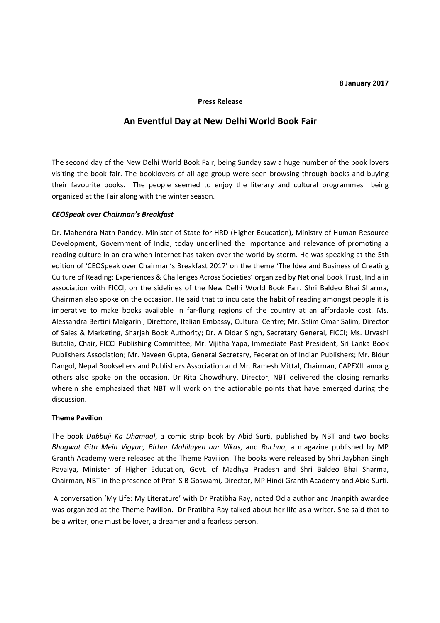#### **8 January 2017**

#### **Press Release**

# **An Eventful Day at New Delhi World Book Fair**

The second day of the New Delhi World Book Fair, being Sunday saw a huge number of the book lovers visiting the book fair. The booklovers of all age group were seen browsing through books and buying their favourite books. The people seemed to enjoy the literary and cultural programmes being organized at the Fair along with the winter season.

### *CEOSpeak over Chairman's Breakfast*

Dr. Mahendra Nath Pandey, Minister of State for HRD (Higher Education), Ministry of Human Resource Development, Government of India, today underlined the importance and relevance of promoting a reading culture in an era when internet has taken over the world by storm. He was speaking at the 5th edition of 'CEOSpeak over Chairman's Breakfast 2017' on the theme 'The Idea and Business of Creating Culture of Reading: Experiences & Challenges Across Societies' organized by National Book Trust, India in association with FICCI, on the sidelines of the New Delhi World Book Fair. Shri Baldeo Bhai Sharma, Chairman also spoke on the occasion. He said that to inculcate the habit of reading amongst people it is imperative to make books available in far-flung regions of the country at an affordable cost. Ms. Alessandra Bertini Malgarini, Direttore, Italian Embassy, Cultural Centre; Mr. Salim Omar Salim, Director of Sales & Marketing, Sharjah Book Authority; Dr. A Didar Singh, Secretary General, FICCI; Ms. Urvashi Butalia, Chair, FICCI Publishing Committee; Mr. Vijitha Yapa, Immediate Past President, Sri Lanka Book Publishers Association; Mr. Naveen Gupta, General Secretary, Federation of Indian Publishers; Mr. Bidur Dangol, Nepal Booksellers and Publishers Association and Mr. Ramesh Mittal, Chairman, CAPEXIL among others also spoke on the occasion. Dr Rita Chowdhury, Director, NBT delivered the closing remarks wherein she emphasized that NBT will work on the actionable points that have emerged during the discussion.

#### **Theme Pavilion**

The book *Dabbuji Ka Dhamaal*, a comic strip book by Abid Surti, published by NBT and two books *Bhagwat Gita Mein Vigyan, Birhor Mahilayen aur Vikas*, and *Rachna*, a magazine published by MP Granth Academy were released at the Theme Pavilion. The books were released by Shri Jaybhan Singh Pavaiya, Minister of Higher Education, Govt. of Madhya Pradesh and Shri Baldeo Bhai Sharma, Chairman, NBT in the presence of Prof. S B Goswami, Director, MP Hindi Granth Academy and Abid Surti.

 A conversation 'My Life: My Literature' with Dr Pratibha Ray, noted Odia author and Jnanpith awardee was organized at the Theme Pavilion. Dr Pratibha Ray talked about her life as a writer. She said that to be a writer, one must be lover, a dreamer and a fearless person.